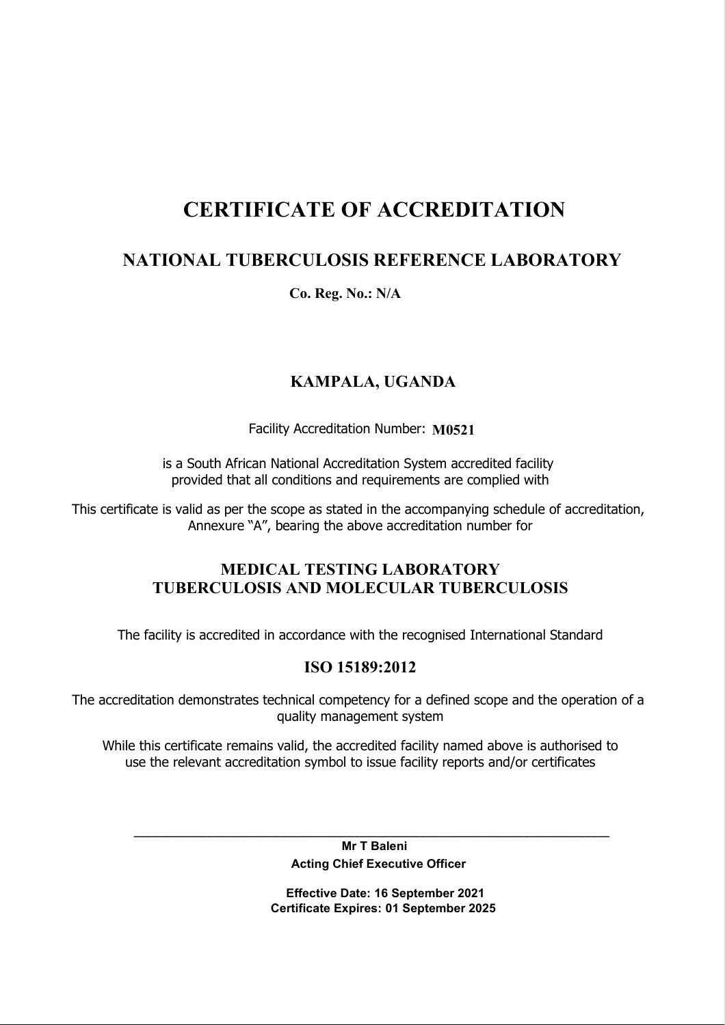# CERTIFICATE OF ACCREDITATION

# NATIONAL TUBERCULOSIS REFERENCE LABORATORY

Co. Reg. No.: N/A

## KAMPALA, UGANDA

Facility Accreditation Number: M0521

is a South African National Accreditation System accredited facility provided that all conditions and requirements are complied with

This certificate is valid as per the scope as stated in the accompanying schedule of accreditation, Annexure "A", bearing the above accreditation number for

### MEDICAL TESTING LABORATORY TUBERCULOSIS AND MOLECULAR TUBERCULOSIS

The facility is accredited in accordance with the recognised International Standard

#### ISO 15189:2012

The accreditation demonstrates technical competency for a defined scope and the operation of a quality management system

While this certificate remains valid, the accredited facility named above is authorised to use the relevant accreditation symbol to issue facility reports and/or certificates

> Mr T Baleni Acting Chief Executive Officer

\_\_\_\_\_\_\_\_\_\_\_\_\_\_\_\_\_\_\_\_\_\_\_\_\_\_\_\_\_\_\_\_\_\_\_\_\_\_\_\_\_\_\_\_\_\_\_\_\_\_\_\_\_\_\_\_\_\_\_\_\_\_\_\_\_\_\_\_\_\_\_\_\_\_\_\_\_\_

 Effective Date: 16 September 2021 Certificate Expires: 01 September 2025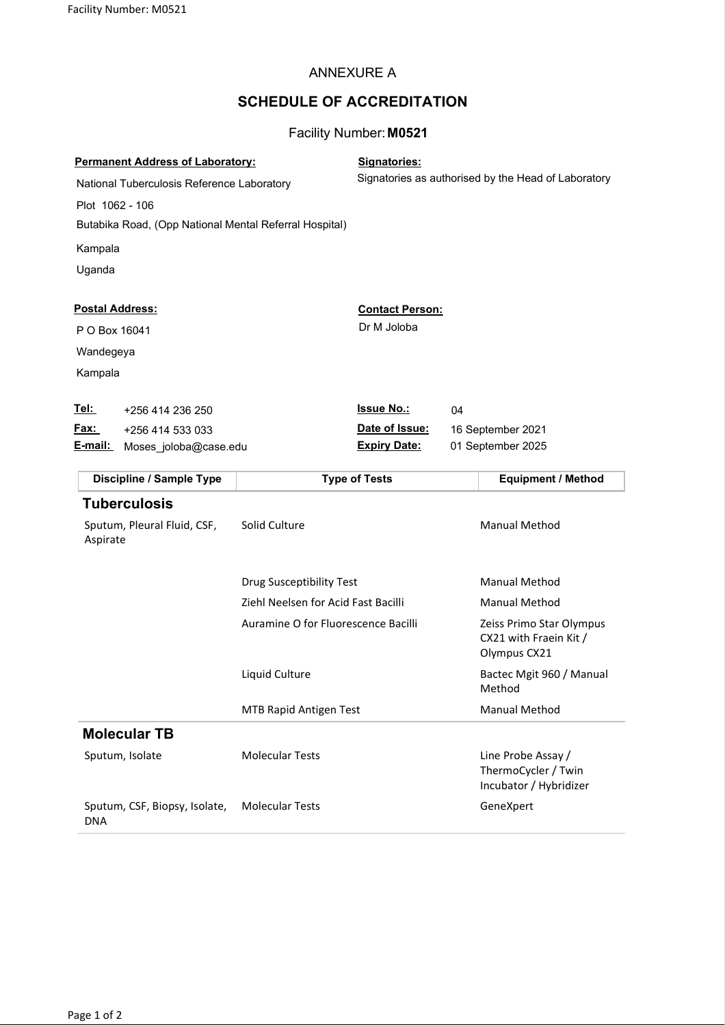#### ANNEXURE A

## SCHEDULE OF ACCREDITATION

#### Facility Number: M0521

| <b>Permanent Address of Laboratory:</b><br>National Tuberculosis Reference Laboratory<br>Plot 1062 - 106<br>Butabika Road, (Opp National Mental Referral Hospital)<br>Kampala<br>Uganda |                                     | Signatories:                                               | Signatories as authorised by the Head of Laboratory                 |
|-----------------------------------------------------------------------------------------------------------------------------------------------------------------------------------------|-------------------------------------|------------------------------------------------------------|---------------------------------------------------------------------|
| <b>Postal Address:</b><br>P O Box 16041<br>Wandegeya<br>Kampala                                                                                                                         |                                     | <b>Contact Person:</b><br>Dr M Joloba                      |                                                                     |
| <u>Tel:</u><br>+256 414 236 250<br>Fax:<br>+256 414 533 033<br><u>E-mail:</u><br>Moses joloba@case.edu                                                                                  |                                     | <b>Issue No.:</b><br>Date of Issue:<br><b>Expiry Date:</b> | 04<br>16 September 2021<br>01 September 2025                        |
| Discipline / Sample Type                                                                                                                                                                |                                     | <b>Type of Tests</b>                                       | <b>Equipment / Method</b>                                           |
| <b>Tuberculosis</b><br>Sputum, Pleural Fluid, CSF,<br>Aspirate                                                                                                                          | Solid Culture                       |                                                            | <b>Manual Method</b>                                                |
|                                                                                                                                                                                         | Drug Susceptibility Test            |                                                            | <b>Manual Method</b>                                                |
|                                                                                                                                                                                         | Ziehl Neelsen for Acid Fast Bacilli |                                                            | <b>Manual Method</b>                                                |
|                                                                                                                                                                                         | Auramine O for Fluorescence Bacilli |                                                            | Zeiss Primo Star Olympus<br>CX21 with Fraein Kit /<br>Olympus CX21  |
|                                                                                                                                                                                         | Liquid Culture                      |                                                            | Bactec Mgit 960 / Manual<br>Method                                  |
|                                                                                                                                                                                         | <b>MTB Rapid Antigen Test</b>       |                                                            | <b>Manual Method</b>                                                |
| <b>Molecular TB</b>                                                                                                                                                                     |                                     |                                                            |                                                                     |
| Sputum, Isolate                                                                                                                                                                         | <b>Molecular Tests</b>              |                                                            | Line Probe Assay /<br>ThermoCycler / Twin<br>Incubator / Hybridizer |
| Sputum, CSF, Biopsy, Isolate,<br><b>DNA</b>                                                                                                                                             | <b>Molecular Tests</b>              |                                                            | GeneXpert                                                           |